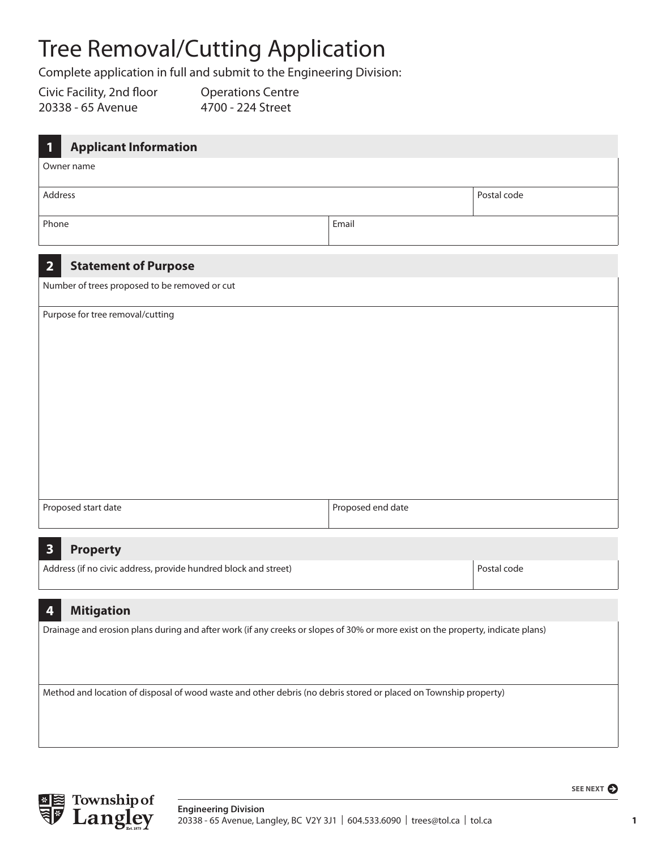## Tree Removal/Cutting Application

Complete application in full and submit to the Engineering Division:

Civic Facility, 2nd floor 20338 - 65 Avenue

Operations Centre 4700 - 224 Street

| <b>Applicant Information</b><br>1                                                                                               |                   |             |  |
|---------------------------------------------------------------------------------------------------------------------------------|-------------------|-------------|--|
| Owner name                                                                                                                      |                   |             |  |
| Address                                                                                                                         |                   | Postal code |  |
| Phone                                                                                                                           | Email             |             |  |
| $\overline{2}$<br><b>Statement of Purpose</b>                                                                                   |                   |             |  |
| Number of trees proposed to be removed or cut                                                                                   |                   |             |  |
| Purpose for tree removal/cutting                                                                                                |                   |             |  |
|                                                                                                                                 |                   |             |  |
|                                                                                                                                 |                   |             |  |
|                                                                                                                                 |                   |             |  |
|                                                                                                                                 |                   |             |  |
|                                                                                                                                 |                   |             |  |
|                                                                                                                                 |                   |             |  |
|                                                                                                                                 |                   |             |  |
| Proposed start date                                                                                                             | Proposed end date |             |  |
| $\overline{\mathbf{3}}$<br><b>Property</b>                                                                                      |                   |             |  |
| Address (if no civic address, provide hundred block and street)                                                                 |                   | Postal code |  |
| <b>Mitigation</b><br>4                                                                                                          |                   |             |  |
| Drainage and erosion plans during and after work (if any creeks or slopes of 30% or more exist on the property, indicate plans) |                   |             |  |

Method and location of disposal of wood waste and other debris (no debris stored or placed on Township property)



**1**

**SEE NEXT**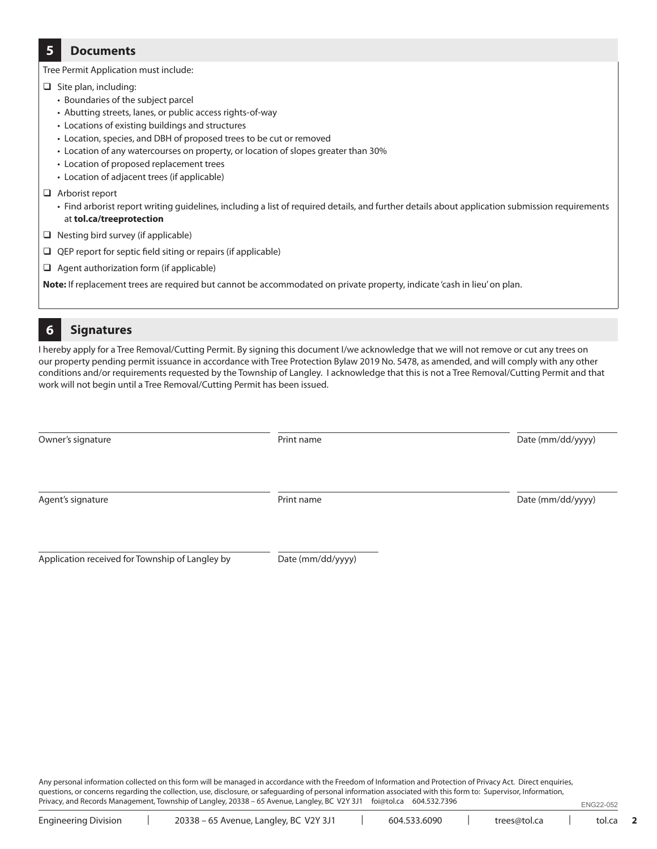## **5 Documents**

Tree Permit Application must include:

- $\Box$  Site plan, including:
	- Boundaries of the subject parcel
	- Abutting streets, lanes, or public access rights-of-way
	- Locations of existing buildings and structures
	- Location, species, and DBH of proposed trees to be cut or removed
	- Location of any watercourses on property, or location of slopes greater than 30%
	- Location of proposed replacement trees
	- Location of adjacent trees (if applicable)
- Arborist report
	- Find arborist report writing guidelines, including a list of required details, and further details about application submission requirements at **tol.ca/treeprotection**
- $\Box$  Nesting bird survey (if applicable)
- $\Box$  QEP report for septic field siting or repairs (if applicable)
- $\Box$  Agent authorization form (if applicable)

**Note:** If replacement trees are required but cannot be accommodated on private property, indicate 'cash in lieu' on plan.

## **6 Signatures**

I hereby apply for a Tree Removal/Cutting Permit. By signing this document I/we acknowledge that we will not remove or cut any trees on our property pending permit issuance in accordance with Tree Protection Bylaw 2019 No. 5478, as amended, and will comply with any other conditions and/or requirements requested by the Township of Langley. I acknowledge that this is not a Tree Removal/Cutting Permit and that work will not begin until a Tree Removal/Cutting Permit has been issued.

| Owner's signature | Print name | Date (mm/dd/yyyy) |
|-------------------|------------|-------------------|
| Agent's signature | Print name | Date (mm/dd/yyyy) |
|                   |            |                   |

Application received for Township of Langley by Date (mm/dd/yyyy)

Any personal information collected on this form will be managed in accordance with the Freedom of Information and Protection of Privacy Act. Direct enquiries, questions, or concerns regarding the collection, use, disclosure, or safeguarding of personal information associated with this form to: Supervisor, Information, Privacy, and Records Management, Township of Langley, 20338 – 65 Avenue, Langley, BC V2Y 3J1 foi@tol.ca 604.532.7396 ENG22-052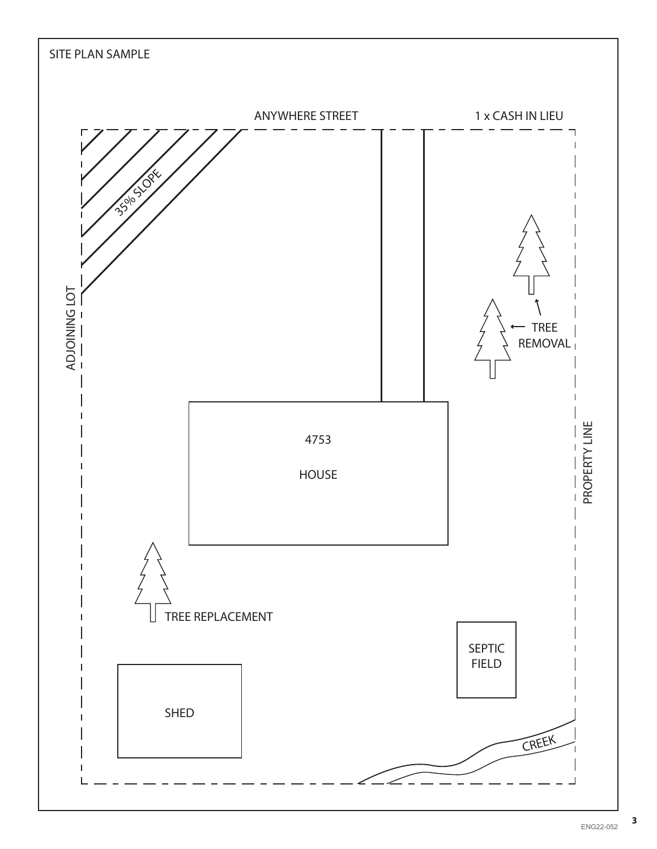